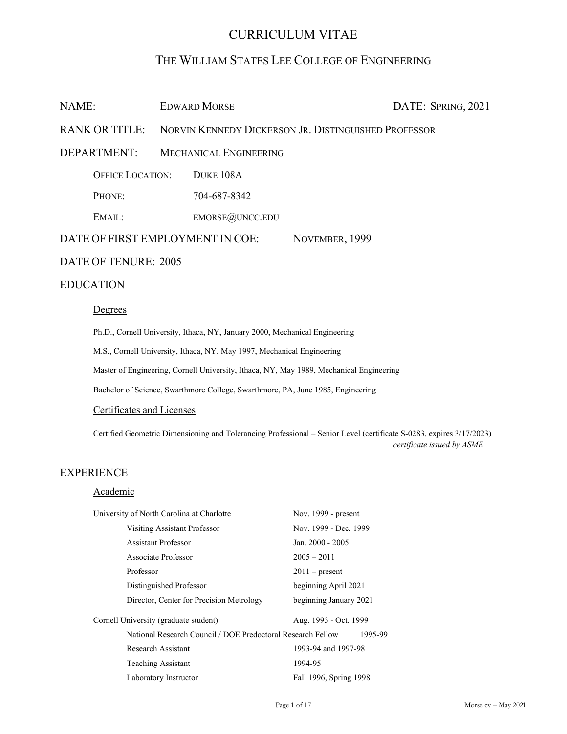# CURRICULUM VITAE

# THE WILLIAM STATES LEE COLLEGE OF ENGINEERING

| NAME:                                              |                                                                                         | <b>EDWARD MORSE</b> |  | DATE: SPRING, 2021 |
|----------------------------------------------------|-----------------------------------------------------------------------------------------|---------------------|--|--------------------|
| <b>RANK OR TITLE:</b>                              | NORVIN KENNEDY DICKERSON JR. DISTINGUISHED PROFESSOR                                    |                     |  |                    |
| <b>DEPARTMENT:</b>                                 | <b>MECHANICAL ENGINEERING</b>                                                           |                     |  |                    |
| <b>OFFICE LOCATION:</b>                            |                                                                                         | DUKE 108A           |  |                    |
| PHONE:                                             |                                                                                         | 704-687-8342        |  |                    |
| EMAIL:                                             |                                                                                         | $EMORSE$ @UNCC.EDU  |  |                    |
| DATE OF FIRST EMPLOYMENT IN COE:<br>NOVEMBER, 1999 |                                                                                         |                     |  |                    |
| DATE OF TENURE: 2005                               |                                                                                         |                     |  |                    |
| <b>EDUCATION</b>                                   |                                                                                         |                     |  |                    |
| Degrees                                            |                                                                                         |                     |  |                    |
|                                                    | Ph.D., Cornell University, Ithaca, NY, January 2000, Mechanical Engineering             |                     |  |                    |
|                                                    | M.S., Cornell University, Ithaca, NY, May 1997, Mechanical Engineering                  |                     |  |                    |
|                                                    | Master of Engineering, Cornell University, Ithaca, NY, May 1989, Mechanical Engineering |                     |  |                    |

Bachelor of Science, Swarthmore College, Swarthmore, PA, June 1985, Engineering

# Certificates and Licenses

Certified Geometric Dimensioning and Tolerancing Professional – Senior Level (certificate S-0283, expires 3/17/2023) *certificate issued by ASME* 

# EXPERIENCE

# Academic

| University of North Carolina at Charlotte                   | Nov. $1999$ - present  |
|-------------------------------------------------------------|------------------------|
| <b>Visiting Assistant Professor</b>                         | Nov. 1999 - Dec. 1999  |
| <b>Assistant Professor</b>                                  | Jan. 2000 - 2005       |
| Associate Professor                                         | $2005 - 2011$          |
| Professor                                                   | $2011$ – present       |
| Distinguished Professor                                     | beginning April 2021   |
| Director, Center for Precision Metrology                    | beginning January 2021 |
| Cornell University (graduate student)                       | Aug. 1993 - Oct. 1999  |
| National Research Council / DOE Predoctoral Research Fellow | 1995-99                |
| Research Assistant                                          | 1993-94 and 1997-98    |
| <b>Teaching Assistant</b>                                   | 1994-95                |
| Laboratory Instructor                                       | Fall 1996, Spring 1998 |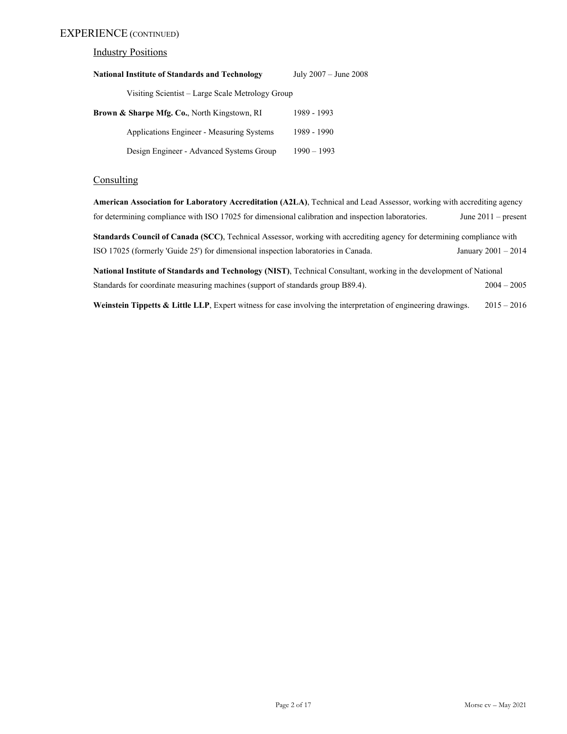## EXPERIENCE (CONTINUED)

### **Industry Positions**

| <b>National Institute of Standards and Technology</b> | July $2007 -$ June $2008$ |
|-------------------------------------------------------|---------------------------|
| Visiting Scientist – Large Scale Metrology Group      |                           |
| Brown & Sharpe Mfg. Co., North Kingstown, RI          | 1989 - 1993               |
| Applications Engineer - Measuring Systems             | 1989 - 1990               |
| Design Engineer - Advanced Systems Group              | $1990 - 1993$             |

## **Consulting**

**American Association for Laboratory Accreditation (A2LA)**, Technical and Lead Assessor, working with accrediting agency for determining compliance with ISO 17025 for dimensional calibration and inspection laboratories. June 2011 – present

**Standards Council of Canada (SCC)**, Technical Assessor, working with accrediting agency for determining compliance with ISO 17025 (formerly 'Guide 25') for dimensional inspection laboratories in Canada. January 2001 – 2014

**National Institute of Standards and Technology (NIST)**, Technical Consultant, working in the development of National Standards for coordinate measuring machines (support of standards group B89.4). 2004 – 2005

**Weinstein Tippetts & Little LLP**, Expert witness for case involving the interpretation of engineering drawings. 2015 – 2016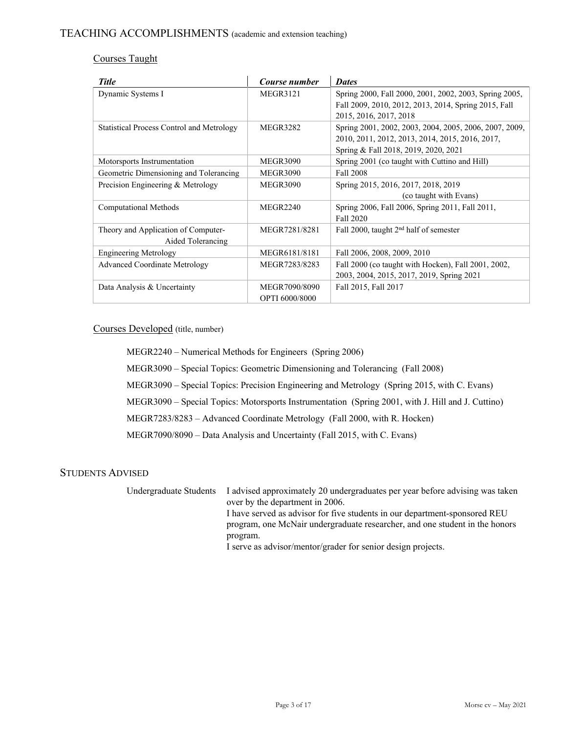# Courses Taught

| <b>Title</b>                                     | Course number   | <b>Dates</b>                                           |
|--------------------------------------------------|-----------------|--------------------------------------------------------|
| Dynamic Systems I                                | <b>MEGR3121</b> | Spring 2000, Fall 2000, 2001, 2002, 2003, Spring 2005, |
|                                                  |                 | Fall 2009, 2010, 2012, 2013, 2014, Spring 2015, Fall   |
|                                                  |                 | 2015, 2016, 2017, 2018                                 |
| <b>Statistical Process Control and Metrology</b> | <b>MEGR3282</b> | Spring 2001, 2002, 2003, 2004, 2005, 2006, 2007, 2009, |
|                                                  |                 | 2010, 2011, 2012, 2013, 2014, 2015, 2016, 2017,        |
|                                                  |                 | Spring & Fall 2018, 2019, 2020, 2021                   |
| Motorsports Instrumentation                      | <b>MEGR3090</b> | Spring 2001 (co taught with Cuttino and Hill)          |
| Geometric Dimensioning and Tolerancing           | <b>MEGR3090</b> | Fall 2008                                              |
| Precision Engineering & Metrology                | <b>MEGR3090</b> | Spring 2015, 2016, 2017, 2018, 2019                    |
|                                                  |                 | (co taught with Evans)                                 |
| Computational Methods                            | <b>MEGR2240</b> | Spring 2006, Fall 2006, Spring 2011, Fall 2011,        |
|                                                  |                 | Fall 2020                                              |
| Theory and Application of Computer-              | MEGR7281/8281   | Fall 2000, taught 2 <sup>nd</sup> half of semester     |
| Aided Tolerancing                                |                 |                                                        |
| <b>Engineering Metrology</b>                     | MEGR6181/8181   | Fall 2006, 2008, 2009, 2010                            |
| <b>Advanced Coordinate Metrology</b>             | MEGR7283/8283   | Fall 2000 (co taught with Hocken), Fall 2001, 2002,    |
|                                                  |                 | 2003, 2004, 2015, 2017, 2019, Spring 2021              |
| Data Analysis & Uncertainty                      | MEGR7090/8090   | Fall 2015, Fall 2017                                   |
|                                                  | OPTI 6000/8000  |                                                        |

Courses Developed (title, number)

 MEGR2240 – Numerical Methods for Engineers (Spring 2006) MEGR3090 – Special Topics: Geometric Dimensioning and Tolerancing (Fall 2008) MEGR3090 – Special Topics: Precision Engineering and Metrology (Spring 2015, with C. Evans) MEGR3090 – Special Topics: Motorsports Instrumentation (Spring 2001, with J. Hill and J. Cuttino) MEGR7283/8283 – Advanced Coordinate Metrology (Fall 2000, with R. Hocken) MEGR7090/8090 – Data Analysis and Uncertainty (Fall 2015, with C. Evans)

# STUDENTS ADVISED

 Undergraduate Students I advised approximately 20 undergraduates per year before advising was taken over by the department in 2006. I have served as advisor for five students in our department-sponsored REU program, one McNair undergraduate researcher, and one student in the honors program. I serve as advisor/mentor/grader for senior design projects.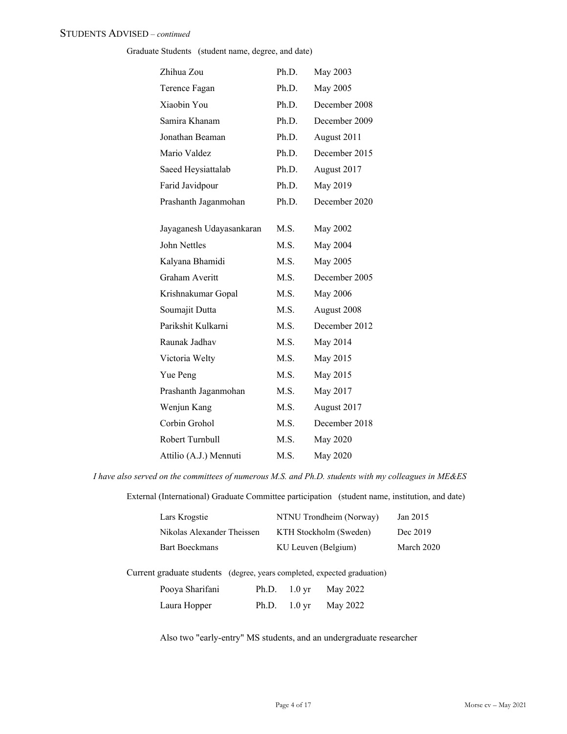### STUDENTS ADVISED – *continued*

Graduate Students (student name, degree, and date)

| Zhihua Zou               | Ph.D. | May 2003        |
|--------------------------|-------|-----------------|
| Terence Fagan            | Ph.D. | May 2005        |
| Xiaobin You              | Ph.D. | December 2008   |
| Samira Khanam            | Ph.D. | December 2009   |
| Jonathan Beaman          | Ph.D. | August 2011     |
| Mario Valdez             | Ph.D. | December 2015   |
| Saeed Heysiattalab       | Ph.D. | August 2017     |
| Farid Javidpour          | Ph.D. | May 2019        |
| Prashanth Jaganmohan     | Ph.D. | December 2020   |
|                          |       |                 |
| Jayaganesh Udayasankaran | M.S.  | May 2002        |
| John Nettles             | M.S.  | May 2004        |
| Kalyana Bhamidi          | M.S.  | May 2005        |
| Graham Averitt           | M.S.  | December 2005   |
| Krishnakumar Gopal       | M.S.  | <b>May 2006</b> |
| Soumajit Dutta           | M.S.  | August 2008     |
| Parikshit Kulkarni       | M.S.  | December 2012   |
| Raunak Jadhav            | M.S.  | May 2014        |
| Victoria Welty           | M.S.  | May 2015        |
| Yue Peng                 | M.S.  | May 2015        |
| Prashanth Jaganmohan     | M.S.  | May 2017        |
| Wenjun Kang              | M.S.  | August 2017     |
| Corbin Grohol            | M.S.  | December 2018   |
| Robert Turnbull          | M.S.  | May 2020        |
| Attilio (A.J.) Mennuti   | M.S.  | May 2020        |
|                          |       |                 |

*I have also served on the committees of numerous M.S. and Ph.D. students with my colleagues in ME&ES* 

External (International) Graduate Committee participation (student name, institution, and date)

| Lars Krogstie              | NTNU Trondheim (Norway) | Jan 2015   |
|----------------------------|-------------------------|------------|
| Nikolas Alexander Theissen | KTH Stockholm (Sweden)  | Dec 2019   |
| Bart Boeckmans             | KU Leuven (Belgium)     | March 2020 |

Current graduate students (degree, years completed, expected graduation)

| Pooya Sharifani | Ph.D. $1.0 \text{ yr}$ | May 2022 |
|-----------------|------------------------|----------|
| Laura Hopper    | Ph.D. $1.0 \text{ yr}$ | May 2022 |

Also two "early-entry" MS students, and an undergraduate researcher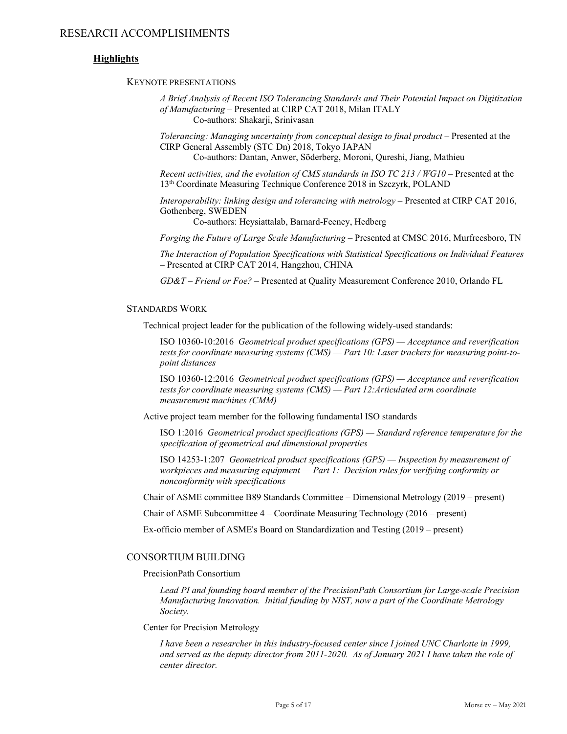### **Highlights**

KEYNOTE PRESENTATIONS

*A Brief Analysis of Recent ISO Tolerancing Standards and Their Potential Impact on Digitization of Manufacturing* – Presented at CIRP CAT 2018, Milan ITALY Co-authors: Shakarji, Srinivasan

*Tolerancing: Managing uncertainty from conceptual design to final product* – Presented at the CIRP General Assembly (STC Dn) 2018, Tokyo JAPAN Co-authors: Dantan, Anwer, Söderberg, Moroni, Qureshi, Jiang, Mathieu

*Recent activities, and the evolution of CMS standards in ISO TC 213 / WG10* – Presented at the

13th Coordinate Measuring Technique Conference 2018 in Szczyrk, POLAND

*Interoperability: linking design and tolerancing with metrology* – Presented at CIRP CAT 2016, Gothenberg, SWEDEN

Co-authors: Heysiattalab, Barnard-Feeney, Hedberg

*Forging the Future of Large Scale Manufacturing* – Presented at CMSC 2016, Murfreesboro, TN

*The Interaction of Population Specifications with Statistical Specifications on Individual Features* – Presented at CIRP CAT 2014, Hangzhou, CHINA

*GD&T – Friend or Foe?* – Presented at Quality Measurement Conference 2010, Orlando FL

#### STANDARDS WORK

Technical project leader for the publication of the following widely-used standards:

ISO 10360-10:2016 *Geometrical product specifications (GPS) — Acceptance and reverification tests for coordinate measuring systems (CMS) — Part 10: Laser trackers for measuring point-topoint distances*

ISO 10360-12:2016 *Geometrical product specifications (GPS) — Acceptance and reverification tests for coordinate measuring systems (CMS) — Part 12:Articulated arm coordinate measurement machines (CMM)* 

Active project team member for the following fundamental ISO standards

ISO 1:2016 *Geometrical product specifications (GPS) — Standard reference temperature for the specification of geometrical and dimensional properties*

ISO 14253-1:207 *Geometrical product specifications (GPS) — Inspection by measurement of workpieces and measuring equipment — Part 1: Decision rules for verifying conformity or nonconformity with specifications*

Chair of ASME committee B89 Standards Committee – Dimensional Metrology (2019 – present)

Chair of ASME Subcommittee  $4 -$ Coordinate Measuring Technology (2016 – present)

Ex-officio member of ASME's Board on Standardization and Testing (2019 – present)

#### CONSORTIUM BUILDING

PrecisionPath Consortium

*Lead PI and founding board member of the PrecisionPath Consortium for Large-scale Precision Manufacturing Innovation. Initial funding by NIST, now a part of the Coordinate Metrology Society.* 

Center for Precision Metrology

*I have been a researcher in this industry-focused center since I joined UNC Charlotte in 1999, and served as the deputy director from 2011-2020. As of January 2021 I have taken the role of center director.*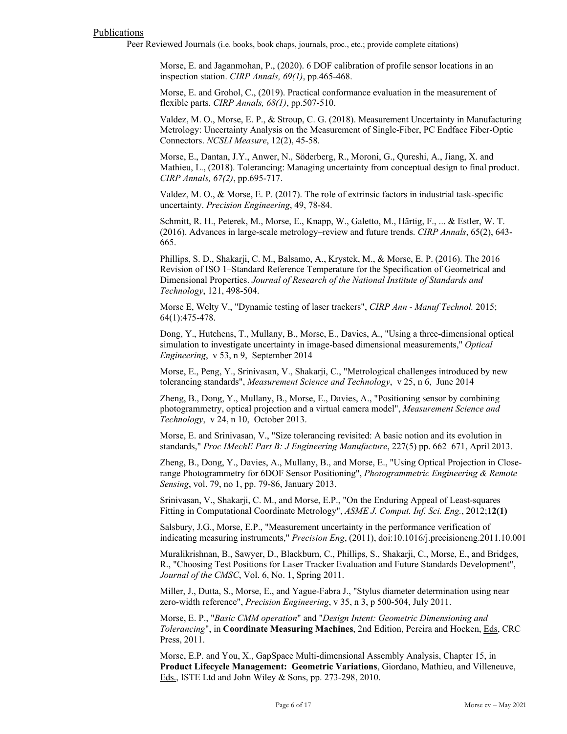#### Publications

Peer Reviewed Journals (i.e. books, book chaps, journals, proc., etc.; provide complete citations)

Morse, E. and Jaganmohan, P., (2020). 6 DOF calibration of profile sensor locations in an inspection station. *CIRP Annals, 69(1)*, pp.465-468.

Morse, E. and Grohol, C., (2019). Practical conformance evaluation in the measurement of flexible parts. *CIRP Annals, 68(1)*, pp.507-510.

Valdez, M. O., Morse, E. P., & Stroup, C. G. (2018). Measurement Uncertainty in Manufacturing Metrology: Uncertainty Analysis on the Measurement of Single-Fiber, PC Endface Fiber-Optic Connectors. *NCSLI Measure*, 12(2), 45-58.

Morse, E., Dantan, J.Y., Anwer, N., Söderberg, R., Moroni, G., Qureshi, A., Jiang, X. and Mathieu, L., (2018). Tolerancing: Managing uncertainty from conceptual design to final product. *CIRP Annals, 67(2)*, pp.695-717.

Valdez, M. O., & Morse, E. P. (2017). The role of extrinsic factors in industrial task-specific uncertainty. *Precision Engineering*, 49, 78-84.

Schmitt, R. H., Peterek, M., Morse, E., Knapp, W., Galetto, M., Härtig, F., ... & Estler, W. T. (2016). Advances in large-scale metrology–review and future trends. *CIRP Annals*, 65(2), 643- 665.

Phillips, S. D., Shakarji, C. M., Balsamo, A., Krystek, M., & Morse, E. P. (2016). The 2016 Revision of ISO 1–Standard Reference Temperature for the Specification of Geometrical and Dimensional Properties. *Journal of Research of the National Institute of Standards and Technology*, 121, 498-504.

Morse E, Welty V., "Dynamic testing of laser trackers", *CIRP Ann - Manuf Technol.* 2015; 64(1):475-478.

Dong, Y., Hutchens, T., Mullany, B., Morse, E., Davies, A., "Using a three-dimensional optical simulation to investigate uncertainty in image-based dimensional measurements," *Optical Engineering*, v 53, n 9, September 2014

Morse, E., Peng, Y., Srinivasan, V., Shakarji, C., "Metrological challenges introduced by new tolerancing standards", *Measurement Science and Technology*, v 25, n 6, June 2014

Zheng, B., Dong, Y., Mullany, B., Morse, E., Davies, A., "Positioning sensor by combining photogrammetry, optical projection and a virtual camera model", *Measurement Science and Technology*, v 24, n 10, October 2013.

Morse, E. and Srinivasan, V., "Size tolerancing revisited: A basic notion and its evolution in standards," *Proc IMechE Part B: J Engineering Manufacture*, 227(5) pp. 662–671, April 2013.

Zheng, B., Dong, Y., Davies, A., Mullany, B., and Morse, E., "Using Optical Projection in Closerange Photogrammetry for 6DOF Sensor Positioning", *Photogrammetric Engineering & Remote Sensing*, vol. 79, no 1, pp. 79-86, January 2013.

Srinivasan, V., Shakarji, C. M., and Morse, E.P., "On the Enduring Appeal of Least-squares Fitting in Computational Coordinate Metrology", *ASME J. Comput. Inf. Sci. Eng.*, 2012;**12(1)**

Salsbury, J.G., Morse, E.P., "Measurement uncertainty in the performance verification of indicating measuring instruments," *Precision Eng*, (2011), doi:10.1016/j.precisioneng.2011.10.001

Muralikrishnan, B., Sawyer, D., Blackburn, C., Phillips, S., Shakarji, C., Morse, E., and Bridges, R., "Choosing Test Positions for Laser Tracker Evaluation and Future Standards Development", *Journal of the CMSC*, Vol. 6, No. 1, Spring 2011.

Miller, J., Dutta, S., Morse, E., and Yague-Fabra J., "Stylus diameter determination using near zero-width reference", *Precision Engineering*, v 35, n 3, p 500-504, July 2011.

Morse, E. P., "*Basic CMM operation*" and "*Design Intent: Geometric Dimensioning and Tolerancing*", in **Coordinate Measuring Machines**, 2nd Edition, Pereira and Hocken, Eds, CRC Press, 2011.

Morse, E.P. and You, X., GapSpace Multi-dimensional Assembly Analysis, Chapter 15, in **Product Lifecycle Management: Geometric Variations**, Giordano, Mathieu, and Villeneuve, Eds., ISTE Ltd and John Wiley & Sons, pp. 273-298, 2010.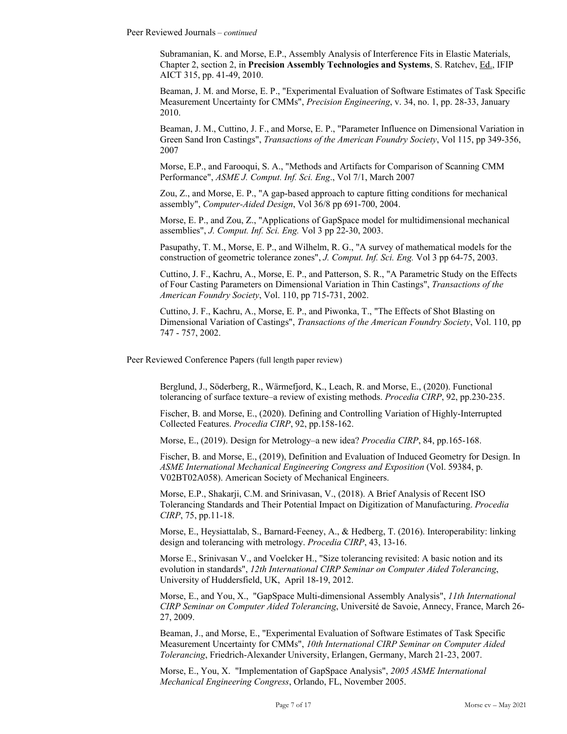Peer Reviewed Journals – *continued*

Subramanian, K. and Morse, E.P., Assembly Analysis of Interference Fits in Elastic Materials, Chapter 2, section 2, in **Precision Assembly Technologies and Systems**, S. Ratchev, Ed., IFIP AICT 315, pp. 41-49, 2010.

Beaman, J. M. and Morse, E. P., "Experimental Evaluation of Software Estimates of Task Specific Measurement Uncertainty for CMMs", *Precision Engineering*, v. 34, no. 1, pp. 28-33, January 2010.

Beaman, J. M., Cuttino, J. F., and Morse, E. P., "Parameter Influence on Dimensional Variation in Green Sand Iron Castings", *Transactions of the American Foundry Society*, Vol 115, pp 349-356, 2007

Morse, E.P., and Farooqui, S. A., "Methods and Artifacts for Comparison of Scanning CMM Performance", *ASME J. Comput. Inf. Sci. Eng*., Vol 7/1, March 2007

Zou, Z., and Morse, E. P., "A gap-based approach to capture fitting conditions for mechanical assembly", *Computer-Aided Design*, Vol 36/8 pp 691-700, 2004.

Morse, E. P., and Zou, Z., "Applications of GapSpace model for multidimensional mechanical assemblies", *J. Comput. Inf. Sci. Eng.* Vol 3 pp 22-30, 2003.

Pasupathy, T. M., Morse, E. P., and Wilhelm, R. G., "A survey of mathematical models for the construction of geometric tolerance zones", *J. Comput. Inf. Sci. Eng.* Vol 3 pp 64-75, 2003.

Cuttino, J. F., Kachru, A., Morse, E. P., and Patterson, S. R., "A Parametric Study on the Effects of Four Casting Parameters on Dimensional Variation in Thin Castings", *Transactions of the American Foundry Society*, Vol. 110, pp 715-731, 2002.

Cuttino, J. F., Kachru, A., Morse, E. P., and Piwonka, T., "The Effects of Shot Blasting on Dimensional Variation of Castings", *Transactions of the American Foundry Society*, Vol. 110, pp 747 - 757, 2002.

Peer Reviewed Conference Papers (full length paper review)

Berglund, J., Söderberg, R., Wärmefjord, K., Leach, R. and Morse, E., (2020). Functional tolerancing of surface texture–a review of existing methods. *Procedia CIRP*, 92, pp.230-235.

Fischer, B. and Morse, E., (2020). Defining and Controlling Variation of Highly-Interrupted Collected Features. *Procedia CIRP*, 92, pp.158-162.

Morse, E., (2019). Design for Metrology–a new idea? *Procedia CIRP*, 84, pp.165-168.

Fischer, B. and Morse, E., (2019), Definition and Evaluation of Induced Geometry for Design. In *ASME International Mechanical Engineering Congress and Exposition* (Vol. 59384, p. V02BT02A058). American Society of Mechanical Engineers.

Morse, E.P., Shakarji, C.M. and Srinivasan, V., (2018). A Brief Analysis of Recent ISO Tolerancing Standards and Their Potential Impact on Digitization of Manufacturing. *Procedia CIRP*, 75, pp.11-18.

Morse, E., Heysiattalab, S., Barnard-Feeney, A., & Hedberg, T. (2016). Interoperability: linking design and tolerancing with metrology. *Procedia CIRP*, 43, 13-16.

Morse E., Srinivasan V., and Voelcker H., "Size tolerancing revisited: A basic notion and its evolution in standards", *12th International CIRP Seminar on Computer Aided Tolerancing*, University of Huddersfield, UK, April 18-19, 2012.

Morse, E., and You, X., "GapSpace Multi-dimensional Assembly Analysis", *11th International CIRP Seminar on Computer Aided Tolerancing*, Université de Savoie, Annecy, France, March 26- 27, 2009.

Beaman, J., and Morse, E., "Experimental Evaluation of Software Estimates of Task Specific Measurement Uncertainty for CMMs", *10th International CIRP Seminar on Computer Aided Tolerancing*, Friedrich-Alexander University, Erlangen, Germany, March 21-23, 2007.

Morse, E., You, X. "Implementation of GapSpace Analysis", *2005 ASME International Mechanical Engineering Congress*, Orlando, FL, November 2005.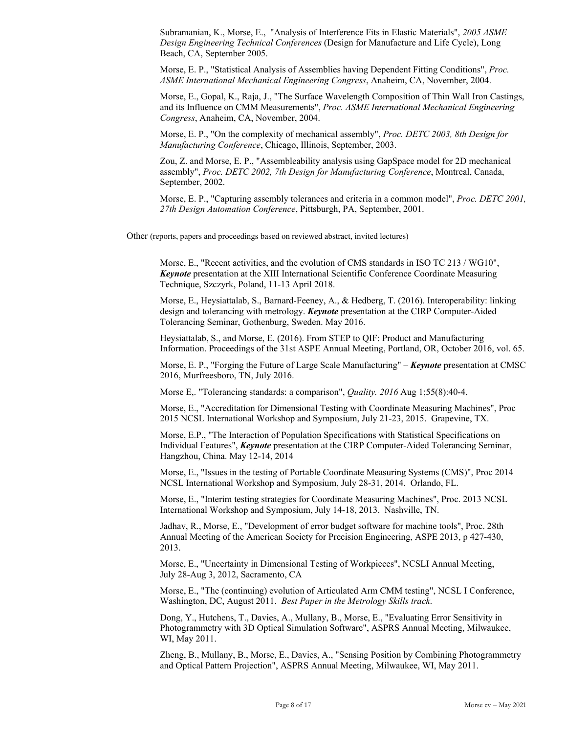Subramanian, K., Morse, E., "Analysis of Interference Fits in Elastic Materials", *2005 ASME Design Engineering Technical Conferences* (Design for Manufacture and Life Cycle), Long Beach, CA, September 2005.

Morse, E. P., "Statistical Analysis of Assemblies having Dependent Fitting Conditions", *Proc. ASME International Mechanical Engineering Congress*, Anaheim, CA, November, 2004.

Morse, E., Gopal, K., Raja, J., "The Surface Wavelength Composition of Thin Wall Iron Castings, and its Influence on CMM Measurements", *Proc. ASME International Mechanical Engineering Congress*, Anaheim, CA, November, 2004.

Morse, E. P., "On the complexity of mechanical assembly", *Proc. DETC 2003, 8th Design for Manufacturing Conference*, Chicago, Illinois, September, 2003.

Zou, Z. and Morse, E. P., "Assembleability analysis using GapSpace model for 2D mechanical assembly", *Proc. DETC 2002, 7th Design for Manufacturing Conference*, Montreal, Canada, September, 2002.

Morse, E. P., "Capturing assembly tolerances and criteria in a common model", *Proc. DETC 2001, 27th Design Automation Conference*, Pittsburgh, PA, September, 2001.

Other (reports, papers and proceedings based on reviewed abstract, invited lectures)

Morse, E., "Recent activities, and the evolution of CMS standards in ISO TC 213 / WG10", *Keynote* presentation at the XIII International Scientific Conference Coordinate Measuring Technique, Szczyrk, Poland, 11-13 April 2018.

Morse, E., Heysiattalab, S., Barnard-Feeney, A., & Hedberg, T. (2016). Interoperability: linking design and tolerancing with metrology. *Keynote* presentation at the CIRP Computer-Aided Tolerancing Seminar, Gothenburg, Sweden. May 2016.

Heysiattalab, S., and Morse, E. (2016). From STEP to QIF: Product and Manufacturing Information. Proceedings of the 31st ASPE Annual Meeting, Portland, OR, October 2016, vol. 65.

Morse, E. P., "Forging the Future of Large Scale Manufacturing" – *Keynote* presentation at CMSC 2016, Murfreesboro, TN, July 2016.

Morse E,. "Tolerancing standards: a comparison", *Quality. 2016* Aug 1;55(8):40-4.

Morse, E., "Accreditation for Dimensional Testing with Coordinate Measuring Machines", Proc 2015 NCSL International Workshop and Symposium, July 21-23, 2015. Grapevine, TX.

Morse, E.P., "The Interaction of Population Specifications with Statistical Specifications on Individual Features", *Keynote* presentation at the CIRP Computer-Aided Tolerancing Seminar, Hangzhou, China. May 12-14, 2014

Morse, E., "Issues in the testing of Portable Coordinate Measuring Systems (CMS)", Proc 2014 NCSL International Workshop and Symposium, July 28-31, 2014. Orlando, FL.

Morse, E., "Interim testing strategies for Coordinate Measuring Machines", Proc. 2013 NCSL International Workshop and Symposium, July 14-18, 2013. Nashville, TN.

Jadhav, R., Morse, E., "Development of error budget software for machine tools", Proc. 28th Annual Meeting of the American Society for Precision Engineering, ASPE 2013, p 427-430, 2013.

Morse, E., "Uncertainty in Dimensional Testing of Workpieces", NCSLI Annual Meeting, July 28-Aug 3, 2012, Sacramento, CA

Morse, E., "The (continuing) evolution of Articulated Arm CMM testing", NCSL I Conference, Washington, DC, August 2011. *Best Paper in the Metrology Skills track*.

Dong, Y., Hutchens, T., Davies, A., Mullany, B., Morse, E., "Evaluating Error Sensitivity in Photogrammetry with 3D Optical Simulation Software", ASPRS Annual Meeting, Milwaukee, WI, May 2011.

Zheng, B., Mullany, B., Morse, E., Davies, A., "Sensing Position by Combining Photogrammetry and Optical Pattern Projection", ASPRS Annual Meeting, Milwaukee, WI, May 2011.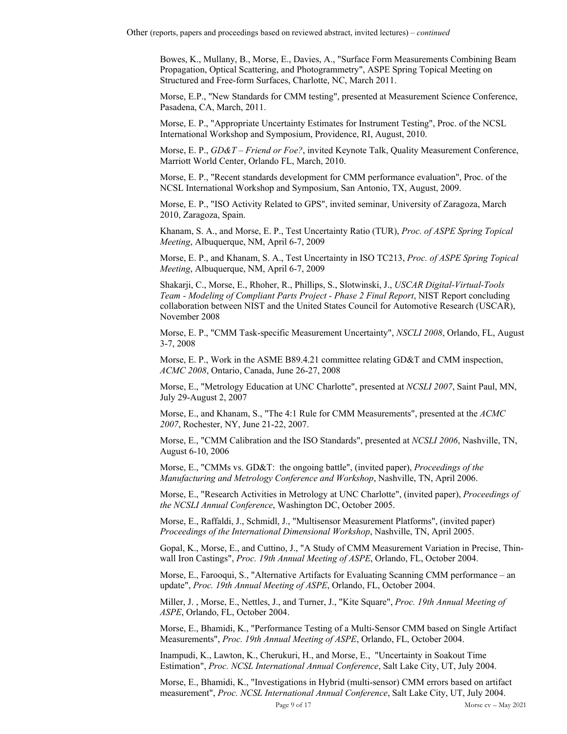Bowes, K., Mullany, B., Morse, E., Davies, A., "Surface Form Measurements Combining Beam Propagation, Optical Scattering, and Photogrammetry", ASPE Spring Topical Meeting on Structured and Free-form Surfaces, Charlotte, NC, March 2011.

Morse, E.P., "New Standards for CMM testing", presented at Measurement Science Conference, Pasadena, CA, March, 2011.

Morse, E. P., "Appropriate Uncertainty Estimates for Instrument Testing", Proc. of the NCSL International Workshop and Symposium, Providence, RI, August, 2010.

Morse, E. P., *GD&T – Friend or Foe?*, invited Keynote Talk, Quality Measurement Conference, Marriott World Center, Orlando FL, March, 2010.

Morse, E. P., "Recent standards development for CMM performance evaluation", Proc. of the NCSL International Workshop and Symposium, San Antonio, TX, August, 2009.

Morse, E. P., "ISO Activity Related to GPS", invited seminar, University of Zaragoza, March 2010, Zaragoza, Spain.

Khanam, S. A., and Morse, E. P., Test Uncertainty Ratio (TUR), *Proc. of ASPE Spring Topical Meeting*, Albuquerque, NM, April 6-7, 2009

Morse, E. P., and Khanam, S. A., Test Uncertainty in ISO TC213, *Proc. of ASPE Spring Topical Meeting*, Albuquerque, NM, April 6-7, 2009

Shakarji, C., Morse, E., Rhoher, R., Phillips, S., Slotwinski, J., *USCAR Digital-Virtual-Tools Team - Modeling of Compliant Parts Project - Phase 2 Final Report*, NIST Report concluding collaboration between NIST and the United States Council for Automotive Research (USCAR), November 2008

Morse, E. P., "CMM Task-specific Measurement Uncertainty", *NSCLI 2008*, Orlando, FL, August 3-7, 2008

Morse, E. P., Work in the ASME B89.4.21 committee relating GD&T and CMM inspection, *ACMC 2008*, Ontario, Canada, June 26-27, 2008

Morse, E., "Metrology Education at UNC Charlotte", presented at *NCSLI 2007*, Saint Paul, MN, July 29-August 2, 2007

Morse, E., and Khanam, S., "The 4:1 Rule for CMM Measurements", presented at the *ACMC 2007*, Rochester, NY, June 21-22, 2007.

Morse, E., "CMM Calibration and the ISO Standards", presented at *NCSLI 2006*, Nashville, TN, August 6-10, 2006

Morse, E., "CMMs vs. GD&T: the ongoing battle", (invited paper), *Proceedings of the Manufacturing and Metrology Conference and Workshop*, Nashville, TN, April 2006.

Morse, E., "Research Activities in Metrology at UNC Charlotte", (invited paper), *Proceedings of the NCSLI Annual Conference*, Washington DC, October 2005.

Morse, E., Raffaldi, J., Schmidl, J., "Multisensor Measurement Platforms", (invited paper) *Proceedings of the International Dimensional Workshop*, Nashville, TN, April 2005.

Gopal, K., Morse, E., and Cuttino, J., "A Study of CMM Measurement Variation in Precise, Thinwall Iron Castings", *Proc. 19th Annual Meeting of ASPE*, Orlando, FL, October 2004.

Morse, E., Farooqui, S., "Alternative Artifacts for Evaluating Scanning CMM performance – an update", *Proc. 19th Annual Meeting of ASPE*, Orlando, FL, October 2004.

Miller, J. , Morse, E., Nettles, J., and Turner, J., "Kite Square", *Proc. 19th Annual Meeting of ASPE*, Orlando, FL, October 2004.

Morse, E., Bhamidi, K., "Performance Testing of a Multi-Sensor CMM based on Single Artifact Measurements", *Proc. 19th Annual Meeting of ASPE*, Orlando, FL, October 2004.

Inampudi, K., Lawton, K., Cherukuri, H., and Morse, E., "Uncertainty in Soakout Time Estimation", *Proc. NCSL International Annual Conference*, Salt Lake City, UT, July 2004.

Morse, E., Bhamidi, K., "Investigations in Hybrid (multi-sensor) CMM errors based on artifact measurement", *Proc. NCSL International Annual Conference*, Salt Lake City, UT, July 2004.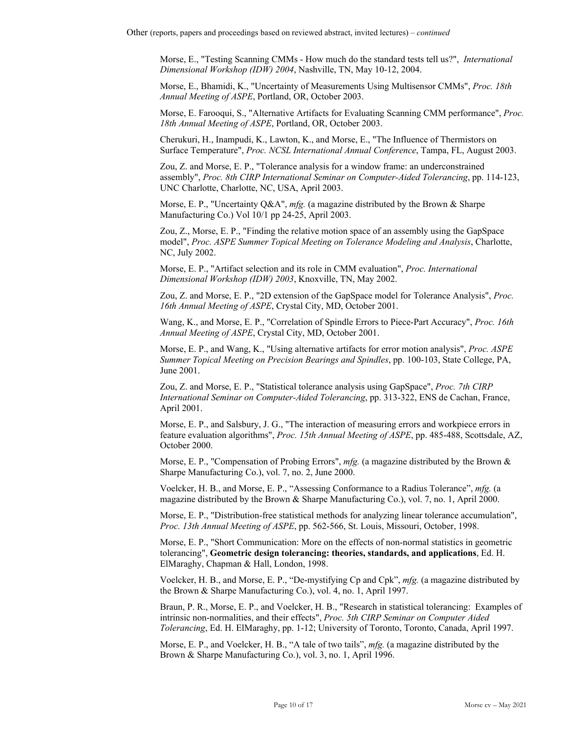Morse, E., "Testing Scanning CMMs - How much do the standard tests tell us?", *International Dimensional Workshop (IDW) 2004*, Nashville, TN, May 10-12, 2004.

Morse, E., Bhamidi, K., "Uncertainty of Measurements Using Multisensor CMMs", *Proc. 18th Annual Meeting of ASPE*, Portland, OR, October 2003.

Morse, E. Farooqui, S., "Alternative Artifacts for Evaluating Scanning CMM performance", *Proc. 18th Annual Meeting of ASPE*, Portland, OR, October 2003.

Cherukuri, H., Inampudi, K., Lawton, K., and Morse, E., "The Influence of Thermistors on Surface Temperature", *Proc. NCSL International Annual Conference*, Tampa, FL, August 2003.

Zou, Z. and Morse, E. P., "Tolerance analysis for a window frame: an underconstrained assembly", *Proc. 8th CIRP International Seminar on Computer-Aided Tolerancing*, pp. 114-123, UNC Charlotte, Charlotte, NC, USA, April 2003.

Morse, E. P., "Uncertainty Q&A", *mfg.* (a magazine distributed by the Brown & Sharpe Manufacturing Co.) Vol 10/1 pp 24-25, April 2003.

Zou, Z., Morse, E. P., "Finding the relative motion space of an assembly using the GapSpace model", *Proc. ASPE Summer Topical Meeting on Tolerance Modeling and Analysis*, Charlotte, NC, July 2002.

Morse, E. P., "Artifact selection and its role in CMM evaluation", *Proc. International Dimensional Workshop (IDW) 2003*, Knoxville, TN, May 2002.

Zou, Z. and Morse, E. P., "2D extension of the GapSpace model for Tolerance Analysis", *Proc. 16th Annual Meeting of ASPE*, Crystal City, MD, October 2001.

Wang, K., and Morse, E. P., "Correlation of Spindle Errors to Piece-Part Accuracy", *Proc. 16th Annual Meeting of ASPE*, Crystal City, MD, October 2001.

Morse, E. P., and Wang, K., "Using alternative artifacts for error motion analysis", *Proc. ASPE Summer Topical Meeting on Precision Bearings and Spindles*, pp. 100-103, State College, PA, June 2001.

Zou, Z. and Morse, E. P., "Statistical tolerance analysis using GapSpace", *Proc. 7th CIRP International Seminar on Computer-Aided Tolerancing*, pp. 313-322, ENS de Cachan, France, April 2001.

Morse, E. P., and Salsbury, J. G., "The interaction of measuring errors and workpiece errors in feature evaluation algorithms", *Proc. 15th Annual Meeting of ASPE*, pp. 485-488, Scottsdale, AZ, October 2000.

Morse, E. P., "Compensation of Probing Errors", *mfg.* (a magazine distributed by the Brown & Sharpe Manufacturing Co.), vol. 7, no. 2, June 2000.

Voelcker, H. B., and Morse, E. P., "Assessing Conformance to a Radius Tolerance", *mfg.* (a magazine distributed by the Brown & Sharpe Manufacturing Co.), vol. 7, no. 1, April 2000.

Morse, E. P., "Distribution-free statistical methods for analyzing linear tolerance accumulation", *Proc. 13th Annual Meeting of ASPE*, pp. 562-566, St. Louis, Missouri, October, 1998.

Morse, E. P., "Short Communication: More on the effects of non-normal statistics in geometric tolerancing", **Geometric design tolerancing: theories, standards, and applications**, Ed. H. ElMaraghy, Chapman & Hall, London, 1998.

Voelcker, H. B., and Morse, E. P., "De-mystifying Cp and Cpk", *mfg.* (a magazine distributed by the Brown & Sharpe Manufacturing Co.), vol. 4, no. 1, April 1997.

Braun, P. R., Morse, E. P., and Voelcker, H. B., "Research in statistical tolerancing: Examples of intrinsic non-normalities, and their effects", *Proc. 5th CIRP Seminar on Computer Aided Tolerancing*, Ed. H. ElMaraghy, pp. 1-12; University of Toronto, Toronto, Canada, April 1997.

Morse, E. P., and Voelcker, H. B., "A tale of two tails", *mfg.* (a magazine distributed by the Brown & Sharpe Manufacturing Co.), vol. 3, no. 1, April 1996.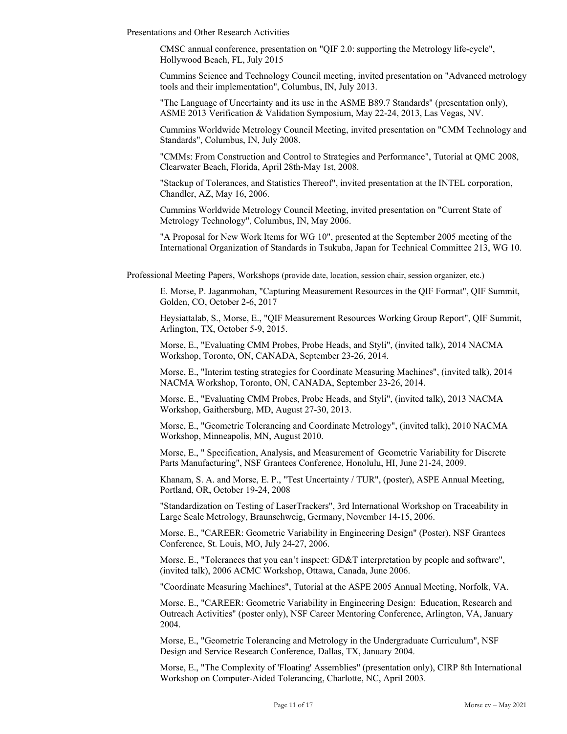Presentations and Other Research Activities

CMSC annual conference, presentation on "QIF 2.0: supporting the Metrology life-cycle", Hollywood Beach, FL, July 2015

Cummins Science and Technology Council meeting, invited presentation on "Advanced metrology tools and their implementation", Columbus, IN, July 2013.

"The Language of Uncertainty and its use in the ASME B89.7 Standards" (presentation only), ASME 2013 Verification & Validation Symposium, May 22-24, 2013, Las Vegas, NV.

Cummins Worldwide Metrology Council Meeting, invited presentation on "CMM Technology and Standards", Columbus, IN, July 2008.

"CMMs: From Construction and Control to Strategies and Performance", Tutorial at QMC 2008, Clearwater Beach, Florida, April 28th-May 1st, 2008.

"Stackup of Tolerances, and Statistics Thereof", invited presentation at the INTEL corporation, Chandler, AZ, May 16, 2006.

Cummins Worldwide Metrology Council Meeting, invited presentation on "Current State of Metrology Technology", Columbus, IN, May 2006.

"A Proposal for New Work Items for WG 10", presented at the September 2005 meeting of the International Organization of Standards in Tsukuba, Japan for Technical Committee 213, WG 10.

Professional Meeting Papers, Workshops (provide date, location, session chair, session organizer, etc.)

E. Morse, P. Jaganmohan, "Capturing Measurement Resources in the QIF Format", QIF Summit, Golden, CO, October 2-6, 2017

Heysiattalab, S., Morse, E., "QIF Measurement Resources Working Group Report", QIF Summit, Arlington, TX, October 5-9, 2015.

Morse, E., "Evaluating CMM Probes, Probe Heads, and Styli", (invited talk), 2014 NACMA Workshop, Toronto, ON, CANADA, September 23-26, 2014.

Morse, E., "Interim testing strategies for Coordinate Measuring Machines", (invited talk), 2014 NACMA Workshop, Toronto, ON, CANADA, September 23-26, 2014.

Morse, E., "Evaluating CMM Probes, Probe Heads, and Styli", (invited talk), 2013 NACMA Workshop, Gaithersburg, MD, August 27-30, 2013.

Morse, E., "Geometric Tolerancing and Coordinate Metrology", (invited talk), 2010 NACMA Workshop, Minneapolis, MN, August 2010.

Morse, E., " Specification, Analysis, and Measurement of Geometric Variability for Discrete Parts Manufacturing", NSF Grantees Conference, Honolulu, HI, June 21-24, 2009.

Khanam, S. A. and Morse, E. P., "Test Uncertainty / TUR", (poster), ASPE Annual Meeting, Portland, OR, October 19-24, 2008

"Standardization on Testing of LaserTrackers", 3rd International Workshop on Traceability in Large Scale Metrology, Braunschweig, Germany, November 14-15, 2006.

Morse, E., "CAREER: Geometric Variability in Engineering Design" (Poster), NSF Grantees Conference, St. Louis, MO, July 24-27, 2006.

Morse, E., "Tolerances that you can't inspect: GD&T interpretation by people and software", (invited talk), 2006 ACMC Workshop, Ottawa, Canada, June 2006.

"Coordinate Measuring Machines", Tutorial at the ASPE 2005 Annual Meeting, Norfolk, VA.

Morse, E., "CAREER: Geometric Variability in Engineering Design: Education, Research and Outreach Activities" (poster only), NSF Career Mentoring Conference, Arlington, VA, January 2004.

Morse, E., "Geometric Tolerancing and Metrology in the Undergraduate Curriculum", NSF Design and Service Research Conference, Dallas, TX, January 2004.

Morse, E., "The Complexity of 'Floating' Assemblies" (presentation only), CIRP 8th International Workshop on Computer-Aided Tolerancing, Charlotte, NC, April 2003.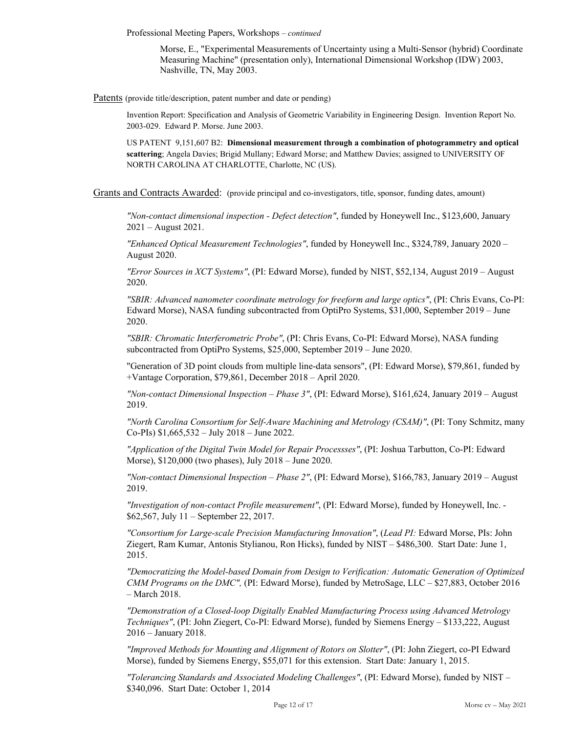Professional Meeting Papers, Workshops – *continued*

Morse, E., "Experimental Measurements of Uncertainty using a Multi-Sensor (hybrid) Coordinate Measuring Machine" (presentation only), International Dimensional Workshop (IDW) 2003, Nashville, TN, May 2003.

Patents (provide title/description, patent number and date or pending)

Invention Report: Specification and Analysis of Geometric Variability in Engineering Design. Invention Report No. 2003-029. Edward P. Morse. June 2003.

US PATENT 9,151,607 B2: **Dimensional measurement through a combination of photogrammetry and optical scattering**; Angela Davies; Brigid Mullany; Edward Morse; and Matthew Davies; assigned to UNIVERSITY OF NORTH CAROLINA AT CHARLOTTE, Charlotte, NC (US).

Grants and Contracts Awarded: (provide principal and co-investigators, title, sponsor, funding dates, amount)

*"Non-contact dimensional inspection - Defect detection"*, funded by Honeywell Inc., \$123,600, January 2021 – August 2021.

*"Enhanced Optical Measurement Technologies"*, funded by Honeywell Inc., \$324,789, January 2020 – August 2020.

*"Error Sources in XCT Systems"*, (PI: Edward Morse), funded by NIST, \$52,134, August 2019 – August 2020.

*"SBIR: Advanced nanometer coordinate metrology for freeform and large optics"*, (PI: Chris Evans, Co-PI: Edward Morse), NASA funding subcontracted from OptiPro Systems, \$31,000, September 2019 – June 2020.

*"SBIR: Chromatic Interferometric Probe"*, (PI: Chris Evans, Co-PI: Edward Morse), NASA funding subcontracted from OptiPro Systems, \$25,000, September 2019 – June 2020.

"Generation of 3D point clouds from multiple line-data sensors", (PI: Edward Morse), \$79,861, funded by +Vantage Corporation, \$79,861, December 2018 – April 2020.

*"Non-contact Dimensional Inspection – Phase 3"*, (PI: Edward Morse), \$161,624, January 2019 – August 2019.

*"North Carolina Consortium for Self-Aware Machining and Metrology (CSAM)"*, (PI: Tony Schmitz, many Co-PIs) \$1,665,532 – July 2018 – June 2022.

*"Application of the Digital Twin Model for Repair Processses"*, (PI: Joshua Tarbutton, Co-PI: Edward Morse), \$120,000 (two phases), July 2018 – June 2020.

*"Non-contact Dimensional Inspection – Phase 2"*, (PI: Edward Morse), \$166,783, January 2019 – August 2019.

*"Investigation of non-contact Profile measurement"*, (PI: Edward Morse), funded by Honeywell, Inc. - \$62,567, July 11 – September 22, 2017.

*"Consortium for Large-scale Precision Manufacturing Innovation"*, (*Lead PI:* Edward Morse, PIs: John Ziegert, Ram Kumar, Antonis Stylianou, Ron Hicks), funded by NIST – \$486,300. Start Date: June 1, 2015.

*"Democratizing the Model-based Domain from Design to Verification: Automatic Generation of Optimized CMM Programs on the DMC",* (PI: Edward Morse), funded by MetroSage, LLC – \$27,883, October 2016 – March 2018.

*"Demonstration of a Closed-loop Digitally Enabled Manufacturing Process using Advanced Metrology Techniques"*, (PI: John Ziegert, Co-PI: Edward Morse), funded by Siemens Energy – \$133,222, August 2016 – January 2018.

*"Improved Methods for Mounting and Alignment of Rotors on Slotter"*, (PI: John Ziegert, co-PI Edward Morse), funded by Siemens Energy, \$55,071 for this extension. Start Date: January 1, 2015.

*"Tolerancing Standards and Associated Modeling Challenges"*, (PI: Edward Morse), funded by NIST – \$340,096. Start Date: October 1, 2014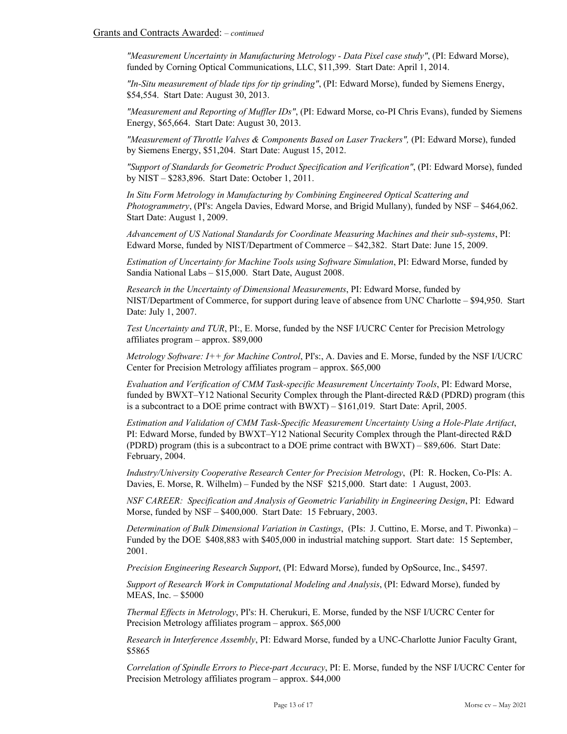*"Measurement Uncertainty in Manufacturing Metrology - Data Pixel case study"*, (PI: Edward Morse), funded by Corning Optical Communications, LLC, \$11,399. Start Date: April 1, 2014.

*"In-Situ measurement of blade tips for tip grinding"*, (PI: Edward Morse), funded by Siemens Energy, \$54,554. Start Date: August 30, 2013.

*"Measurement and Reporting of Muffler IDs"*, (PI: Edward Morse, co-PI Chris Evans), funded by Siemens Energy, \$65,664. Start Date: August 30, 2013.

*"Measurement of Throttle Valves & Components Based on Laser Trackers",* (PI: Edward Morse), funded by Siemens Energy, \$51,204. Start Date: August 15, 2012.

*"Support of Standards for Geometric Product Specification and Verification"*, (PI: Edward Morse), funded by NIST – \$283,896. Start Date: October 1, 2011.

*In Situ Form Metrology in Manufacturing by Combining Engineered Optical Scattering and Photogrammetry*, (PI's: Angela Davies, Edward Morse, and Brigid Mullany), funded by NSF – \$464,062. Start Date: August 1, 2009.

*Advancement of US National Standards for Coordinate Measuring Machines and their sub-systems*, PI: Edward Morse, funded by NIST/Department of Commerce – \$42,382. Start Date: June 15, 2009.

*Estimation of Uncertainty for Machine Tools using Software Simulation*, PI: Edward Morse, funded by Sandia National Labs – \$15,000. Start Date, August 2008.

*Research in the Uncertainty of Dimensional Measurements*, PI: Edward Morse, funded by NIST/Department of Commerce, for support during leave of absence from UNC Charlotte – \$94,950. Start Date: July 1, 2007.

*Test Uncertainty and TUR*, PI:, E. Morse, funded by the NSF I/UCRC Center for Precision Metrology affiliates program – approx. \$89,000

*Metrology Software: I++ for Machine Control*, PI's:, A. Davies and E. Morse, funded by the NSF I/UCRC Center for Precision Metrology affiliates program – approx. \$65,000

*Evaluation and Verification of CMM Task-specific Measurement Uncertainty Tools*, PI: Edward Morse, funded by BWXT–Y12 National Security Complex through the Plant-directed R&D (PDRD) program (this is a subcontract to a DOE prime contract with BWXT) – \$161,019. Start Date: April, 2005.

*Estimation and Validation of CMM Task-Specific Measurement Uncertainty Using a Hole-Plate Artifact*, PI: Edward Morse, funded by BWXT–Y12 National Security Complex through the Plant-directed R&D (PDRD) program (this is a subcontract to a DOE prime contract with BWXT) – \$89,606. Start Date: February, 2004.

*Industry/University Cooperative Research Center for Precision Metrology*, (PI: R. Hocken, Co-PIs: A. Davies, E. Morse, R. Wilhelm) – Funded by the NSF \$215,000. Start date: 1 August, 2003.

*NSF CAREER: Specification and Analysis of Geometric Variability in Engineering Design*, PI: Edward Morse, funded by NSF – \$400,000. Start Date: 15 February, 2003.

*Determination of Bulk Dimensional Variation in Castings*, (PIs: J. Cuttino, E. Morse, and T. Piwonka) – Funded by the DOE \$408,883 with \$405,000 in industrial matching support. Start date: 15 September, 2001.

*Precision Engineering Research Support*, (PI: Edward Morse), funded by OpSource, Inc., \$4597.

*Support of Research Work in Computational Modeling and Analysis*, (PI: Edward Morse), funded by MEAS, Inc. – \$5000

*Thermal Effects in Metrology*, PI's: H. Cherukuri, E. Morse, funded by the NSF I/UCRC Center for Precision Metrology affiliates program – approx. \$65,000

*Research in Interference Assembly*, PI: Edward Morse, funded by a UNC-Charlotte Junior Faculty Grant, \$5865

*Correlation of Spindle Errors to Piece-part Accuracy*, PI: E. Morse, funded by the NSF I/UCRC Center for Precision Metrology affiliates program – approx. \$44,000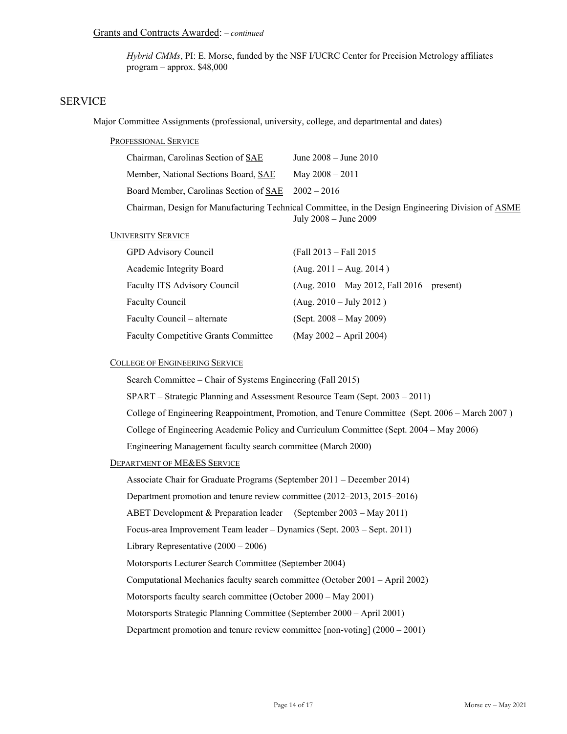*Hybrid CMMs*, PI: E. Morse, funded by the NSF I/UCRC Center for Precision Metrology affiliates program – approx. \$48,000

# SERVICE

Major Committee Assignments (professional, university, college, and departmental and dates)

#### PROFESSIONAL SERVICE

| Chairman, Carolinas Section of SAE                     | June $2008 -$ June $2010$                                                                                                       |
|--------------------------------------------------------|---------------------------------------------------------------------------------------------------------------------------------|
| Member, National Sections Board, SAE                   | May $2008 - 2011$                                                                                                               |
| Board Member, Carolinas Section of $SAE$ $2002 - 2016$ |                                                                                                                                 |
|                                                        | Chairman, Design for Manufacturing Technical Committee, in the Design Engineering Division of ASME<br>July $2008 -$ June $2009$ |

#### UNIVERSITY SERVICE

| GPD Advisory Council                        | (Fall 2013 – Fall 2015)                       |
|---------------------------------------------|-----------------------------------------------|
| Academic Integrity Board                    | $(Aug. 2011 - Aug. 2014)$                     |
| Faculty ITS Advisory Council                | $(Aug. 2010 - May 2012, Fall 2016 - present)$ |
| <b>Faculty Council</b>                      | $(Aug. 2010 - July 2012)$                     |
| Faculty Council – alternate                 | $(Sept. 2008 - May 2009)$                     |
| <b>Faculty Competitive Grants Committee</b> | $(May 2002 - April 2004)$                     |

### COLLEGE OF ENGINEERING SERVICE

Search Committee – Chair of Systems Engineering (Fall 2015)

SPART – Strategic Planning and Assessment Resource Team (Sept. 2003 – 2011)

College of Engineering Reappointment, Promotion, and Tenure Committee (Sept. 2006 – March 2007 )

College of Engineering Academic Policy and Curriculum Committee (Sept. 2004 – May 2006)

Engineering Management faculty search committee (March 2000)

#### DEPARTMENT OF ME&ES SERVICE

Associate Chair for Graduate Programs (September 2011 – December 2014)

Department promotion and tenure review committee (2012–2013, 2015–2016)

ABET Development & Preparation leader (September 2003 – May 2011)

Focus-area Improvement Team leader – Dynamics (Sept. 2003 – Sept. 2011)

Library Representative (2000 – 2006)

Motorsports Lecturer Search Committee (September 2004)

Computational Mechanics faculty search committee (October 2001 – April 2002)

Motorsports faculty search committee (October 2000 – May 2001)

Motorsports Strategic Planning Committee (September 2000 – April 2001)

Department promotion and tenure review committee [non-voting] (2000 – 2001)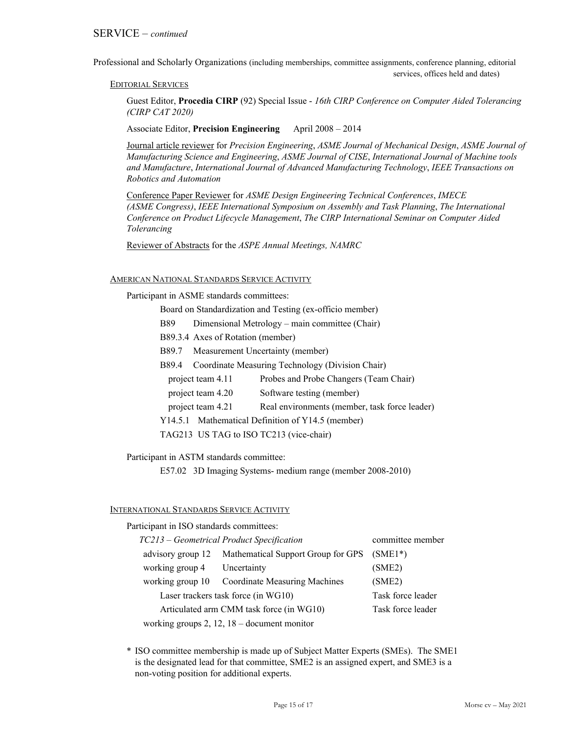Professional and Scholarly Organizations (including memberships, committee assignments, conference planning, editorial services, offices held and dates)

EDITORIAL SERVICES

Guest Editor, **Procedia CIRP** (92) Special Issue - *16th CIRP Conference on Computer Aided Tolerancing (CIRP CAT 2020)* 

Associate Editor, **Precision Engineering** April 2008 – 2014

Journal article reviewer for *Precision Engineering*, *ASME Journal of Mechanical Design*, *ASME Journal of Manufacturing Science and Engineering*, *ASME Journal of CISE*, *International Journal of Machine tools and Manufacture*, *International Journal of Advanced Manufacturing Technology*, *IEEE Transactions on Robotics and Automation*

Conference Paper Reviewer for *ASME Design Engineering Technical Conferences*, *IMECE (ASME Congress)*, *IEEE International Symposium on Assembly and Task Planning*, *The International Conference on Product Lifecycle Management*, *The CIRP International Seminar on Computer Aided Tolerancing*

Reviewer of Abstracts for the *ASPE Annual Meetings, NAMRC*

#### AMERICAN NATIONAL STANDARDS SERVICE ACTIVITY

Participant in ASME standards committees:

Board on Standardization and Testing (ex-officio member)

- B89 Dimensional Metrology main committee (Chair)
- B89.3.4 Axes of Rotation (member)
- B89.7 Measurement Uncertainty (member)
- B89.4 Coordinate Measuring Technology (Division Chair)
	- project team 4.11 Probes and Probe Changers (Team Chair)
- project team 4.20 Software testing (member)
	- project team 4.21 Real environments (member, task force leader)
- Y14.5.1 Mathematical Definition of Y14.5 (member)
- TAG213 US TAG to ISO TC213 (vice-chair)

Participant in ASTM standards committee:

E57.02 3D Imaging Systems- medium range (member 2008-2010)

#### INTERNATIONAL STANDARDS SERVICE ACTIVITY

Participant in ISO standards committees:

| TC213 – Geometrical Product Specification      |                 | committee member                                     |           |
|------------------------------------------------|-----------------|------------------------------------------------------|-----------|
|                                                |                 | advisory group 12 Mathematical Support Group for GPS | $(SME1*)$ |
|                                                | working group 4 | Uncertainty                                          | (SME2)    |
|                                                |                 | working group 10 Coordinate Measuring Machines       | (SME2)    |
| Laser trackers task force (in WG10)            |                 | Task force leader                                    |           |
| Articulated arm CMM task force (in WG10)       |                 | Task force leader                                    |           |
| working groups $2$ , 12, 18 – document monitor |                 |                                                      |           |

\* ISO committee membership is made up of Subject Matter Experts (SMEs). The SME1 is the designated lead for that committee, SME2 is an assigned expert, and SME3 is a non-voting position for additional experts.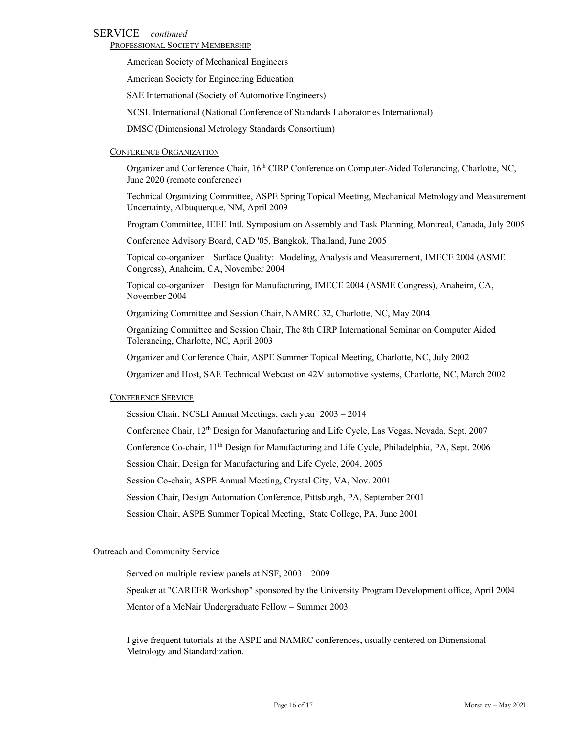### SERVICE – *continued*

PROFESSIONAL SOCIETY MEMBERSHIP

American Society of Mechanical Engineers

American Society for Engineering Education

SAE International (Society of Automotive Engineers)

NCSL International (National Conference of Standards Laboratories International)

DMSC (Dimensional Metrology Standards Consortium)

#### CONFERENCE ORGANIZATION

Organizer and Conference Chair, 16<sup>th</sup> CIRP Conference on Computer-Aided Tolerancing, Charlotte, NC, June 2020 (remote conference)

Technical Organizing Committee, ASPE Spring Topical Meeting, Mechanical Metrology and Measurement Uncertainty, Albuquerque, NM, April 2009

Program Committee, IEEE Intl. Symposium on Assembly and Task Planning, Montreal, Canada, July 2005

Conference Advisory Board, CAD '05, Bangkok, Thailand, June 2005

Topical co-organizer – Surface Quality: Modeling, Analysis and Measurement, IMECE 2004 (ASME Congress), Anaheim, CA, November 2004

Topical co-organizer – Design for Manufacturing, IMECE 2004 (ASME Congress), Anaheim, CA, November 2004

Organizing Committee and Session Chair, NAMRC 32, Charlotte, NC, May 2004

Organizing Committee and Session Chair, The 8th CIRP International Seminar on Computer Aided Tolerancing, Charlotte, NC, April 2003

Organizer and Conference Chair, ASPE Summer Topical Meeting, Charlotte, NC, July 2002

Organizer and Host, SAE Technical Webcast on 42V automotive systems, Charlotte, NC, March 2002

#### CONFERENCE SERVICE

Session Chair, NCSLI Annual Meetings, each year 2003 – 2014

Conference Chair, 12th Design for Manufacturing and Life Cycle, Las Vegas, Nevada, Sept. 2007

Conference Co-chair, 11th Design for Manufacturing and Life Cycle, Philadelphia, PA, Sept. 2006

Session Chair, Design for Manufacturing and Life Cycle, 2004, 2005

Session Co-chair, ASPE Annual Meeting, Crystal City, VA, Nov. 2001

Session Chair, Design Automation Conference, Pittsburgh, PA, September 2001

Session Chair, ASPE Summer Topical Meeting, State College, PA, June 2001

#### Outreach and Community Service

Served on multiple review panels at NSF, 2003 – 2009

Speaker at "CAREER Workshop" sponsored by the University Program Development office, April 2004

Mentor of a McNair Undergraduate Fellow – Summer 2003

I give frequent tutorials at the ASPE and NAMRC conferences, usually centered on Dimensional Metrology and Standardization.